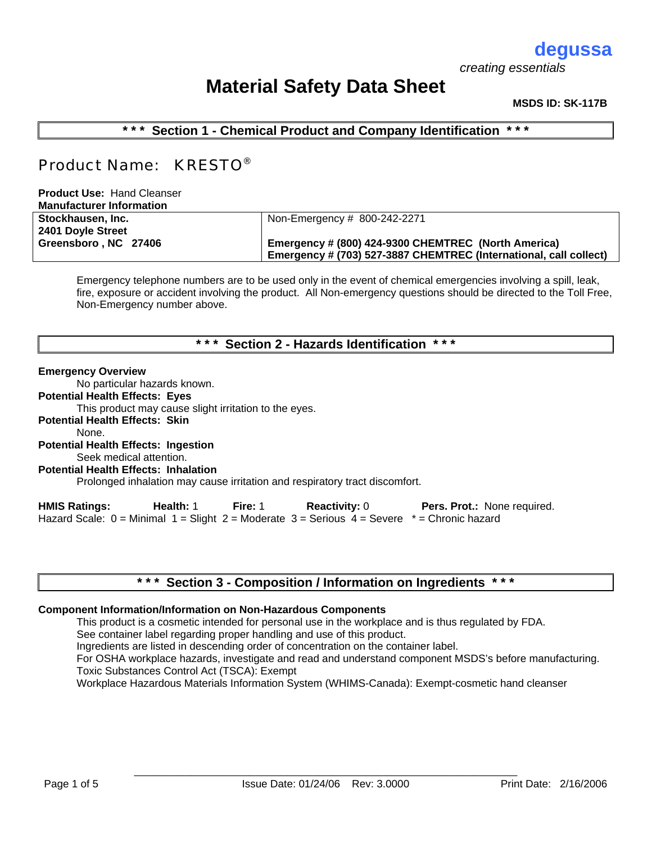# **degussa**

 *creating essentials*

# **Material Safety Data Sheet**

### **MSDS ID: SK-117B**

**\* \* \* Section 1 - Chemical Product and Company Identification \* \* \*** 

## Product Name: KRESTO®

**Product Use:** Hand Cleanser **Manufacturer Information**

| <b>Manuacture Mondual</b> |                                                                   |  |
|---------------------------|-------------------------------------------------------------------|--|
| Stockhausen, Inc.         | Non-Emergency # 800-242-2271                                      |  |
| 2401 Doyle Street         |                                                                   |  |
| Greensboro, NC 27406      | Emergency # (800) 424-9300 CHEMTREC (North America)               |  |
|                           | Emergency # (703) 527-3887 CHEMTREC (International, call collect) |  |
|                           |                                                                   |  |

Emergency telephone numbers are to be used only in the event of chemical emergencies involving a spill, leak, fire, exposure or accident involving the product. All Non-emergency questions should be directed to the Toll Free, Non-Emergency number above.

## **\* \* \* Section 2 - Hazards Identification \* \* \***

### **Emergency Overview**

No particular hazards known.

### **Potential Health Effects: Eyes**

This product may cause slight irritation to the eyes.

**Potential Health Effects: Skin**

### None.

**Potential Health Effects: Ingestion**

Seek medical attention.

**Potential Health Effects: Inhalation**

Prolonged inhalation may cause irritation and respiratory tract discomfort.

**HMIS Ratings: Health:** 1 **Fire:** 1 **Reactivity:** 0 **Pers. Prot.:** None required. Hazard Scale:  $0 =$  Minimal  $1 =$  Slight  $2 =$  Moderate  $3 =$  Serious  $4 =$  Severe  $* =$  Chronic hazard

## **\* \* \* Section 3 - Composition / Information on Ingredients \* \* \***

### **Component Information/Information on Non-Hazardous Components**

This product is a cosmetic intended for personal use in the workplace and is thus regulated by FDA.

See container label regarding proper handling and use of this product.

Ingredients are listed in descending order of concentration on the container label.

For OSHA workplace hazards, investigate and read and understand component MSDS's before manufacturing. Toxic Substances Control Act (TSCA): Exempt

Workplace Hazardous Materials Information System (WHIMS-Canada): Exempt-cosmetic hand cleanser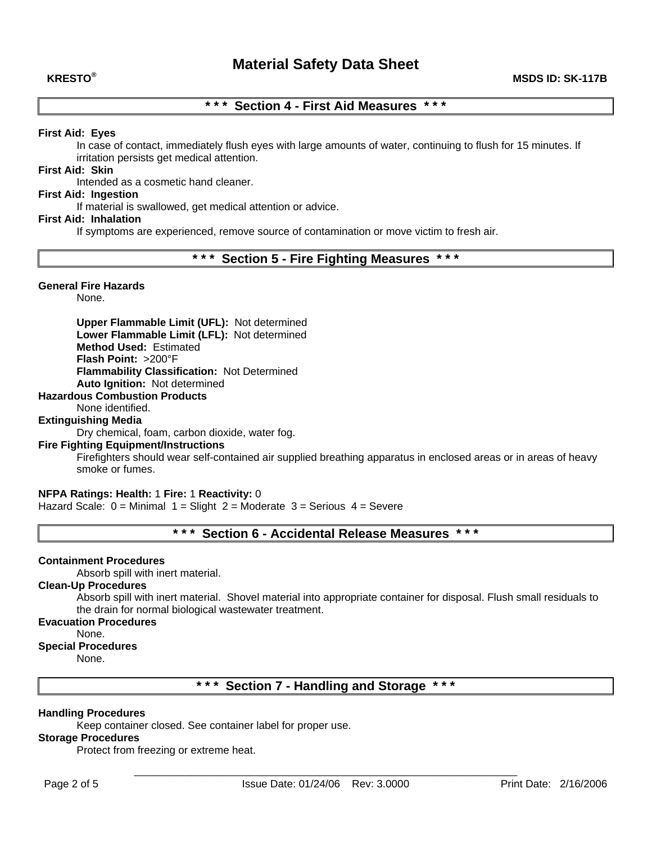## **\* \* \* Section 4 - First Aid Measures \* \* \***

### **First Aid: Eyes**

In case of contact, immediately flush eyes with large amounts of water, continuing to flush for 15 minutes. If irritation persists get medical attention.

### **First Aid: Skin**

Intended as a cosmetic hand cleaner.

### **First Aid: Ingestion**

If material is swallowed, get medical attention or advice.

### **First Aid: Inhalation**

If symptoms are experienced, remove source of contamination or move victim to fresh air.

### **\* \* \* Section 5 - Fire Fighting Measures \* \* \***

### **General Fire Hazards**

None.

**Upper Flammable Limit (UFL):** Not determined **Lower Flammable Limit (LFL):** Not determined **Method Used:** Estimated **Flash Point:** >200°F **Flammability Classification:** Not Determined **Auto Ignition:** Not determined

### **Hazardous Combustion Products**

None identified.

### **Extinguishing Media**

Dry chemical, foam, carbon dioxide, water fog.

### **Fire Fighting Equipment/Instructions**

Firefighters should wear self-contained air supplied breathing apparatus in enclosed areas or in areas of heavy smoke or fumes.

### **NFPA Ratings: Health:** 1 **Fire:** 1 **Reactivity:** 0

Hazard Scale:  $0 =$  Minimal  $1 =$  Slight  $2 =$  Moderate  $3 =$  Serious  $4 =$  Severe

## **\* \* \* Section 6 - Accidental Release Measures \* \* \***

### **Containment Procedures**

Absorb spill with inert material.

### **Clean-Up Procedures**

Absorb spill with inert material. Shovel material into appropriate container for disposal. Flush small residuals to the drain for normal biological wastewater treatment.

### **Evacuation Procedures**

None.

### **Special Procedures**

None.

**\* \* \* Section 7 - Handling and Storage \* \* \*** 

### **Handling Procedures**

Keep container closed. See container label for proper use.

### **Storage Procedures**

Protect from freezing or extreme heat.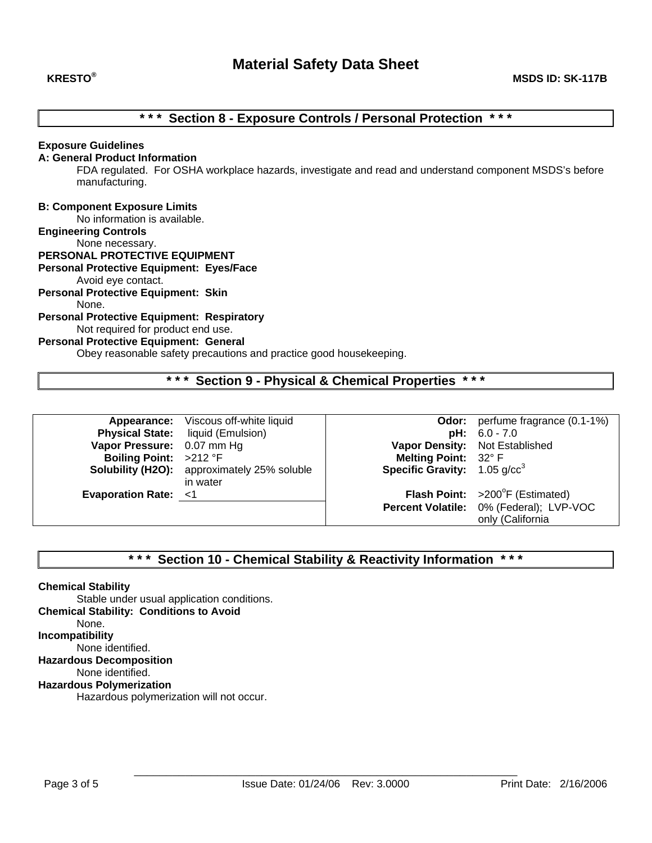## **\* \* \* Section 8 - Exposure Controls / Personal Protection \* \* \***

### **Exposure Guidelines**

### **A: General Product Information**

FDA regulated. For OSHA workplace hazards, investigate and read and understand component MSDS's before manufacturing.

### **B: Component Exposure Limits**

No information is available.

### **Engineering Controls**

None necessary.

## **PERSONAL PROTECTIVE EQUIPMENT**

**Personal Protective Equipment: Eyes/Face**

Avoid eye contact.

## **Personal Protective Equipment: Skin**

None.

### **Personal Protective Equipment: Respiratory**

## Not required for product end use.

## **Personal Protective Equipment: General**

Obey reasonable safety precautions and practice good housekeeping.

### **\* \* \* Section 9 - Physical & Chemical Properties \* \* \***

|                                | Appearance: Viscous off-white liquid               |                                            | <b>Odor:</b> perfume fragrance (0.1-1%) |
|--------------------------------|----------------------------------------------------|--------------------------------------------|-----------------------------------------|
|                                | <b>Physical State:</b> liquid (Emulsion)           |                                            | $pH: 6.0 - 7.0$                         |
| Vapor Pressure: 0.07 mm Hg     |                                                    | Vapor Density: Not Established             |                                         |
| Boiling Point: >212 °F         |                                                    | Melting Point: 32° F                       |                                         |
|                                | <b>Solubility (H2O):</b> approximately 25% soluble | <b>Specific Gravity:</b> 1.05 $q$ / $cc^3$ |                                         |
|                                | in water                                           |                                            |                                         |
| <b>Evaporation Rate: &lt;1</b> |                                                    |                                            | Flash Point: >200°F (Estimated)         |
|                                |                                                    |                                            | Percent Volatile: 0% (Federal); LVP-VOC |
|                                |                                                    |                                            | only (California                        |

## **\* \* \* Section 10 - Chemical Stability & Reactivity Information \* \* \***

### **Chemical Stability**

Stable under usual application conditions. **Chemical Stability: Conditions to Avoid** None. **Incompatibility** None identified. **Hazardous Decomposition** None identified. **Hazardous Polymerization**

Hazardous polymerization will not occur.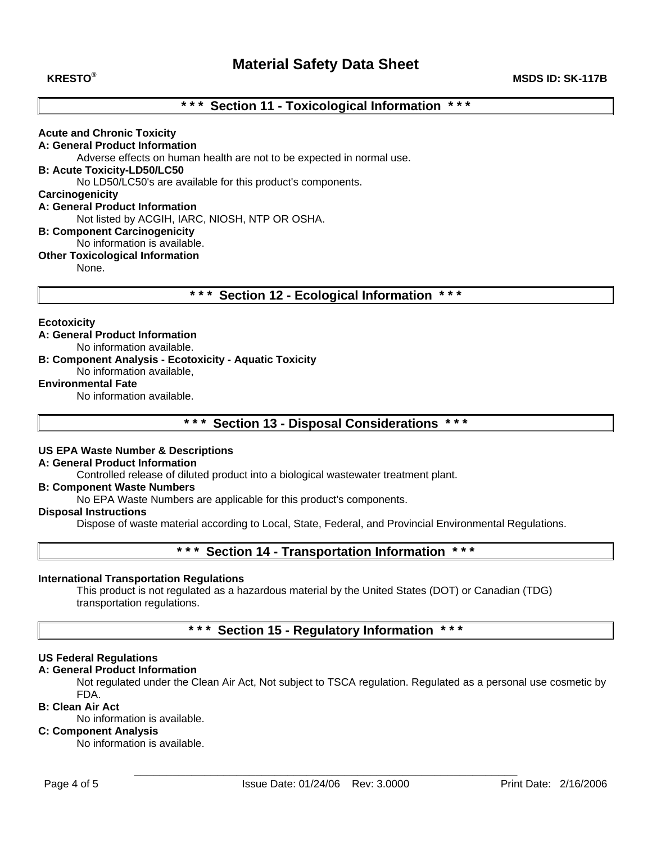### **KRESTO® MSDS ID: SK-117B**

## **\* \* \* Section 11 - Toxicological Information \* \* \***

### **Acute and Chronic Toxicity**

**A: General Product Information** Adverse effects on human health are not to be expected in normal use.

**B: Acute Toxicity-LD50/LC50** 

No LD50/LC50's are available for this product's components.

### **Carcinogenicity**

### **A: General Product Information**

Not listed by ACGIH, IARC, NIOSH, NTP OR OSHA.

### **B: Component Carcinogenicity**

### No information is available.

### **Other Toxicological Information**

None.

**\* \* \* Section 12 - Ecological Information \* \* \*** 

### **Ecotoxicity**

### **A: General Product Information**

No information available.

**B: Component Analysis - Ecotoxicity - Aquatic Toxicity**  No information available,

### **Environmental Fate**

No information available.

**\* \* \* Section 13 - Disposal Considerations \* \* \*** 

### **US EPA Waste Number & Descriptions**

## **A: General Product Information**

Controlled release of diluted product into a biological wastewater treatment plant.

### **B: Component Waste Numbers**

No EPA Waste Numbers are applicable for this product's components.

### **Disposal Instructions**

Dispose of waste material according to Local, State, Federal, and Provincial Environmental Regulations.

### **\* \* \* Section 14 - Transportation Information \* \* \***

### **International Transportation Regulations**

This product is not regulated as a hazardous material by the United States (DOT) or Canadian (TDG) transportation regulations.

## **\* \* \* Section 15 - Regulatory Information \* \* \***

### **US Federal Regulations**

### **A: General Product Information**

Not regulated under the Clean Air Act, Not subject to TSCA regulation. Regulated as a personal use cosmetic by FDA.

### **B: Clean Air Act**

No information is available.

## **C: Component Analysis**

No information is available.